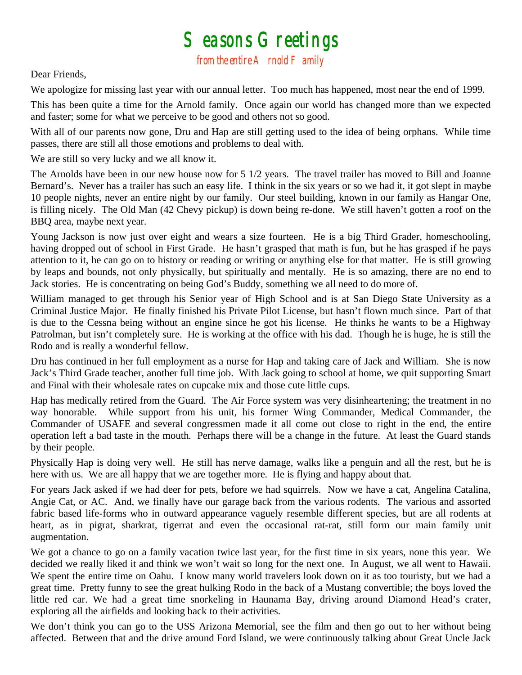## $S$ easons  $G$ reetings<br>from the entire  $A$  rnold  $F$  amily

Dear Friends,

We apologize for missing last year with our annual letter. Too much has happened, most near the end of 1999.

This has been quite a time for the Arnold family. Once again our world has changed more than we expected and faster; some for what we perceive to be good and others not so good.

With all of our parents now gone, Dru and Hap are still getting used to the idea of being orphans. While time passes, there are still all those emotions and problems to deal with.

We are still so very lucky and we all know it.

The Arnolds have been in our new house now for 5 1/2 years. The travel trailer has moved to Bill and Joanne Bernard's. Never has a trailer has such an easy life. I think in the six years or so we had it, it got slept in maybe 10 people nights, never an entire night by our family. Our steel building, known in our family as Hangar One, is filling nicely. The Old Man (42 Chevy pickup) is down being re-done. We still haven't gotten a roof on the BBQ area, maybe next year.

Young Jackson is now just over eight and wears a size fourteen. He is a big Third Grader, homeschooling, having dropped out of school in First Grade. He hasn't grasped that math is fun, but he has grasped if he pays attention to it, he can go on to history or reading or writing or anything else for that matter. He is still growing by leaps and bounds, not only physically, but spiritually and mentally. He is so amazing, there are no end to Jack stories. He is concentrating on being God's Buddy, something we all need to do more of.

William managed to get through his Senior year of High School and is at San Diego State University as a Criminal Justice Major. He finally finished his Private Pilot License, but hasn't flown much since. Part of that is due to the Cessna being without an engine since he got his license. He thinks he wants to be a Highway Patrolman, but isn't completely sure. He is working at the office with his dad. Though he is huge, he is still the Rodo and is really a wonderful fellow.

Dru has continued in her full employment as a nurse for Hap and taking care of Jack and William. She is now Jack's Third Grade teacher, another full time job. With Jack going to school at home, we quit supporting Smart and Final with their wholesale rates on cupcake mix and those cute little cups.

Hap has medically retired from the Guard. The Air Force system was very disinheartening; the treatment in no way honorable. While support from his unit, his former Wing Commander, Medical Commander, the Commander of USAFE and several congressmen made it all come out close to right in the end, the entire operation left a bad taste in the mouth. Perhaps there will be a change in the future. At least the Guard stands by their people.

Physically Hap is doing very well. He still has nerve damage, walks like a penguin and all the rest, but he is here with us. We are all happy that we are together more. He is flying and happy about that.

For years Jack asked if we had deer for pets, before we had squirrels. Now we have a cat, Angelina Catalina, Angie Cat, or AC. And, we finally have our garage back from the various rodents. The various and assorted fabric based life-forms who in outward appearance vaguely resemble different species, but are all rodents at heart, as in pigrat, sharkrat, tigerrat and even the occasional rat-rat, still form our main family unit augmentation.

We got a chance to go on a family vacation twice last year, for the first time in six years, none this year. We decided we really liked it and think we won't wait so long for the next one. In August, we all went to Hawaii. We spent the entire time on Oahu. I know many world travelers look down on it as too touristy, but we had a great time. Pretty funny to see the great hulking Rodo in the back of a Mustang convertible; the boys loved the little red car. We had a great time snorkeling in Haunama Bay, driving around Diamond Head's crater, exploring all the airfields and looking back to their activities.

We don't think you can go to the USS Arizona Memorial, see the film and then go out to her without being affected. Between that and the drive around Ford Island, we were continuously talking about Great Uncle Jack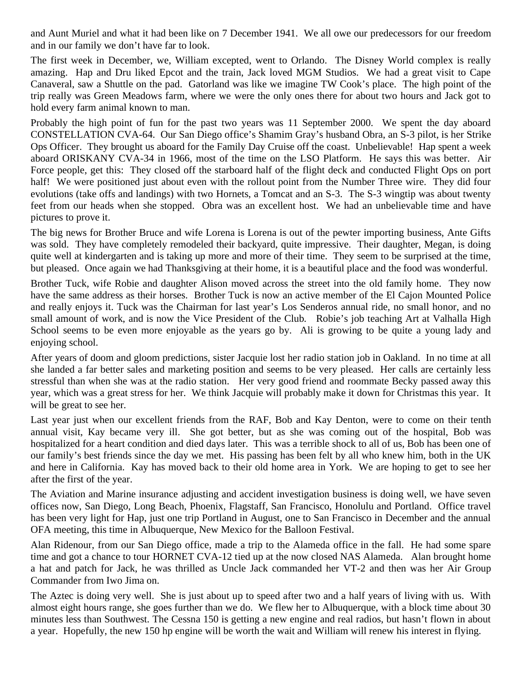and Aunt Muriel and what it had been like on 7 December 1941. We all owe our predecessors for our freedom and in our family we don't have far to look.

The first week in December, we, William excepted, went to Orlando. The Disney World complex is really amazing. Hap and Dru liked Epcot and the train, Jack loved MGM Studios. We had a great visit to Cape Canaveral, saw a Shuttle on the pad. Gatorland was like we imagine TW Cook's place. The high point of the trip really was Green Meadows farm, where we were the only ones there for about two hours and Jack got to hold every farm animal known to man.

Probably the high point of fun for the past two years was 11 September 2000. We spent the day aboard CONSTELLATION CVA-64. Our San Diego office's Shamim Gray's husband Obra, an S-3 pilot, is her Strike Ops Officer. They brought us aboard for the Family Day Cruise off the coast. Unbelievable! Hap spent a week aboard ORISKANY CVA-34 in 1966, most of the time on the LSO Platform. He says this was better. Air Force people, get this: They closed off the starboard half of the flight deck and conducted Flight Ops on port half! We were positioned just about even with the rollout point from the Number Three wire. They did four evolutions (take offs and landings) with two Hornets, a Tomcat and an S-3. The S-3 wingtip was about twenty feet from our heads when she stopped. Obra was an excellent host. We had an unbelievable time and have pictures to prove it.

The big news for Brother Bruce and wife Lorena is Lorena is out of the pewter importing business, Ante Gifts was sold. They have completely remodeled their backyard, quite impressive. Their daughter, Megan, is doing quite well at kindergarten and is taking up more and more of their time. They seem to be surprised at the time, but pleased. Once again we had Thanksgiving at their home, it is a beautiful place and the food was wonderful.

Brother Tuck, wife Robie and daughter Alison moved across the street into the old family home. They now have the same address as their horses. Brother Tuck is now an active member of the El Cajon Mounted Police and really enjoys it. Tuck was the Chairman for last year's Los Senderos annual ride, no small honor, and no small amount of work, and is now the Vice President of the Club. Robie's job teaching Art at Valhalla High School seems to be even more enjoyable as the years go by. Ali is growing to be quite a young lady and enjoying school.

After years of doom and gloom predictions, sister Jacquie lost her radio station job in Oakland. In no time at all she landed a far better sales and marketing position and seems to be very pleased. Her calls are certainly less stressful than when she was at the radio station. Her very good friend and roommate Becky passed away this year, which was a great stress for her. We think Jacquie will probably make it down for Christmas this year. It will be great to see her.

Last year just when our excellent friends from the RAF, Bob and Kay Denton, were to come on their tenth annual visit, Kay became very ill. She got better, but as she was coming out of the hospital, Bob was hospitalized for a heart condition and died days later. This was a terrible shock to all of us, Bob has been one of our family's best friends since the day we met. His passing has been felt by all who knew him, both in the UK and here in California. Kay has moved back to their old home area in York. We are hoping to get to see her after the first of the year.

The Aviation and Marine insurance adjusting and accident investigation business is doing well, we have seven offices now, San Diego, Long Beach, Phoenix, Flagstaff, San Francisco, Honolulu and Portland. Office travel has been very light for Hap, just one trip Portland in August, one to San Francisco in December and the annual OFA meeting, this time in Albuquerque, New Mexico for the Balloon Festival.

Alan Ridenour, from our San Diego office, made a trip to the Alameda office in the fall. He had some spare time and got a chance to tour HORNET CVA-12 tied up at the now closed NAS Alameda. Alan brought home a hat and patch for Jack, he was thrilled as Uncle Jack commanded her VT-2 and then was her Air Group Commander from Iwo Jima on.

The Aztec is doing very well. She is just about up to speed after two and a half years of living with us. With almost eight hours range, she goes further than we do. We flew her to Albuquerque, with a block time about 30 minutes less than Southwest. The Cessna 150 is getting a new engine and real radios, but hasn't flown in about a year. Hopefully, the new 150 hp engine will be worth the wait and William will renew his interest in flying.